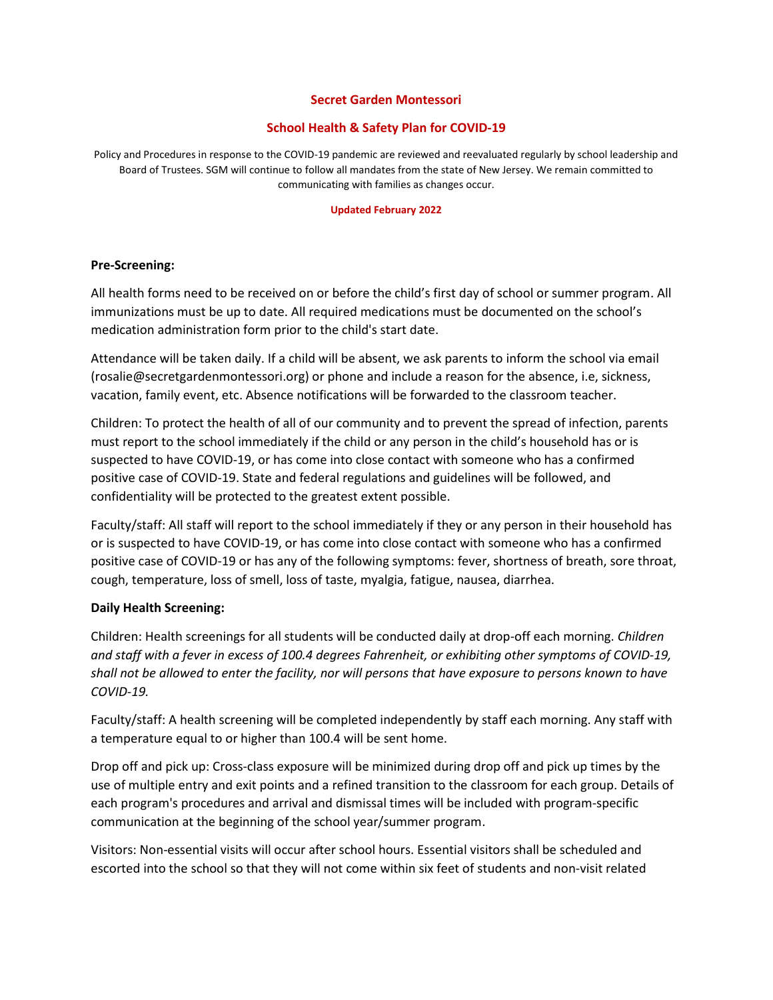#### **Secret Garden Montessori**

# **School Health & Safety Plan for COVID-19**

Policy and Procedures in response to the COVID-19 pandemic are reviewed and reevaluated regularly by school leadership and Board of Trustees. SGM will continue to follow all mandates from the state of New Jersey. We remain committed to communicating with families as changes occur.

#### **Updated February 2022**

#### **Pre-Screening:**

All health forms need to be received on or before the child's first day of school or summer program. All immunizations must be up to date. All required medications must be documented on the school's medication administration form prior to the child's start date.

Attendance will be taken daily. If a child will be absent, we ask parents to inform the school via email (rosalie@secretgardenmontessori.org) or phone and include a reason for the absence, i.e, sickness, vacation, family event, etc. Absence notifications will be forwarded to the classroom teacher.

Children: To protect the health of all of our community and to prevent the spread of infection, parents must report to the school immediately if the child or any person in the child's household has or is suspected to have COVID-19, or has come into close contact with someone who has a confirmed positive case of COVID-19. State and federal regulations and guidelines will be followed, and confidentiality will be protected to the greatest extent possible.

Faculty/staff: All staff will report to the school immediately if they or any person in their household has or is suspected to have COVID-19, or has come into close contact with someone who has a confirmed positive case of COVID-19 or has any of the following symptoms: fever, shortness of breath, sore throat, cough, temperature, loss of smell, loss of taste, myalgia, fatigue, nausea, diarrhea.

## **Daily Health Screening:**

Children: Health screenings for all students will be conducted daily at drop-off each morning. *Children and staff with a fever in excess of 100.4 degrees Fahrenheit, or exhibiting other symptoms of COVID-19,* shall not be allowed to enter the facility, nor will persons that have exposure to persons known to have *COVID-19.*

Faculty/staff: A health screening will be completed independently by staff each morning. Any staff with a temperature equal to or higher than 100.4 will be sent home.

Drop off and pick up: Cross-class exposure will be minimized during drop off and pick up times by the use of multiple entry and exit points and a refined transition to the classroom for each group. Details of each program's procedures and arrival and dismissal times will be included with program-specific communication at the beginning of the school year/summer program.

Visitors: Non-essential visits will occur after school hours. Essential visitors shall be scheduled and escorted into the school so that they will not come within six feet of students and non-visit related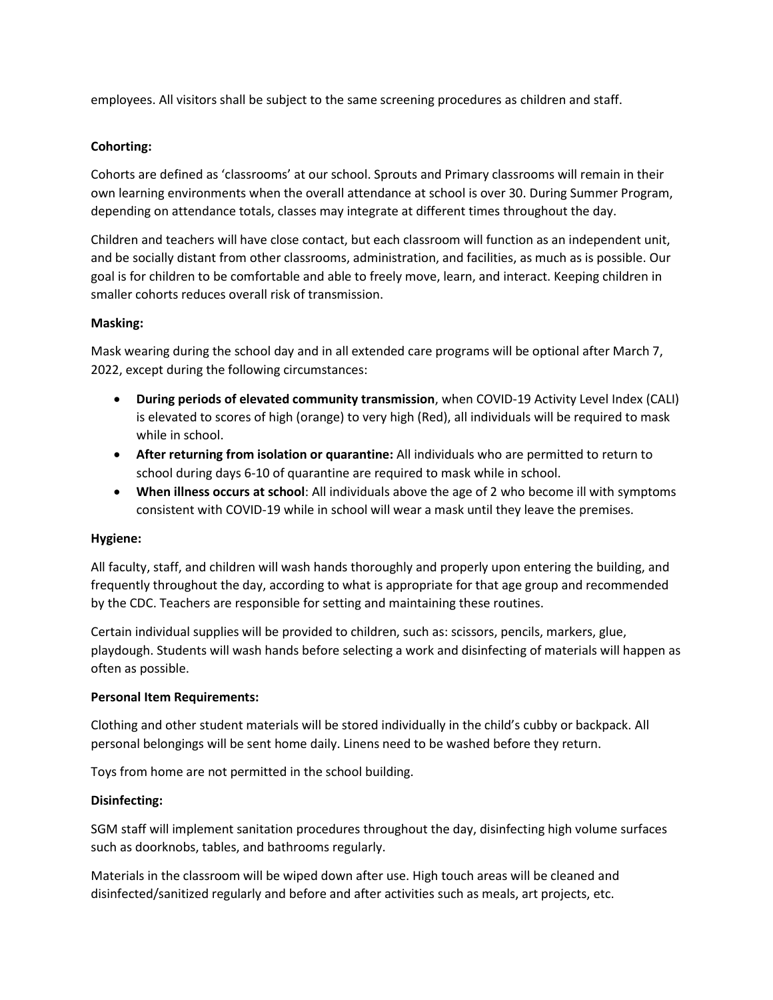employees. All visitors shall be subject to the same screening procedures as children and staff.

# **Cohorting:**

Cohorts are defined as 'classrooms' at our school. Sprouts and Primary classrooms will remain in their own learning environments when the overall attendance at school is over 30. During Summer Program, depending on attendance totals, classes may integrate at different times throughout the day.

Children and teachers will have close contact, but each classroom will function as an independent unit, and be socially distant from other classrooms, administration, and facilities, as much as is possible. Our goal is for children to be comfortable and able to freely move, learn, and interact. Keeping children in smaller cohorts reduces overall risk of transmission.

## **Masking:**

Mask wearing during the school day and in all extended care programs will be optional after March 7, 2022, except during the following circumstances:

- **During periods of elevated community transmission**, when COVID-19 Activity Level Index (CALI) is elevated to scores of high (orange) to very high (Red), all individuals will be required to mask while in school.
- **After returning from isolation or quarantine:** All individuals who are permitted to return to school during days 6-10 of quarantine are required to mask while in school.
- **When illness occurs at school**: All individuals above the age of 2 who become ill with symptoms consistent with COVID-19 while in school will wear a mask until they leave the premises.

## **Hygiene:**

All faculty, staff, and children will wash hands thoroughly and properly upon entering the building, and frequently throughout the day, according to what is appropriate for that age group and recommended by the CDC. Teachers are responsible for setting and maintaining these routines.

Certain individual supplies will be provided to children, such as: scissors, pencils, markers, glue, playdough. Students will wash hands before selecting a work and disinfecting of materials will happen as often as possible.

## **Personal Item Requirements:**

Clothing and other student materials will be stored individually in the child's cubby or backpack. All personal belongings will be sent home daily. Linens need to be washed before they return.

Toys from home are not permitted in the school building.

## **Disinfecting:**

SGM staff will implement sanitation procedures throughout the day, disinfecting high volume surfaces such as doorknobs, tables, and bathrooms regularly.

Materials in the classroom will be wiped down after use. High touch areas will be cleaned and disinfected/sanitized regularly and before and after activities such as meals, art projects, etc.